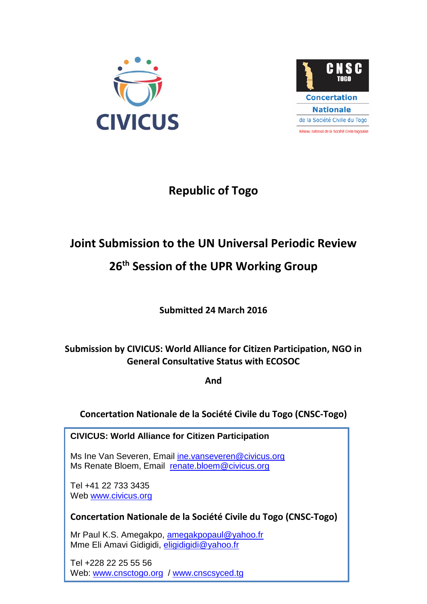



# **Republic of Togo**

# **Joint Submission to the UN Universal Periodic Review**

# **26 th Session of the UPR Working Group**

**Submitted 24 March 2016**

# **Submission by CIVICUS: World Alliance for Citizen Participation, NGO in General Consultative Status with ECOSOC**

**And**

**Concertation Nationale de la Société Civile du Togo (CNSC-Togo)**

**CIVICUS: World Alliance for Citizen Participation**

Ms Ine Van Severen, Email [ine.vanseveren@civicus.org](mailto:ine.vanseveren@civicus.org) Ms Renate Bloem, Email [renate.bloem@civicus.org](mailto:renate.bloem@civicus.org)

Tel +41 22 733 3435 Web [www.civicus.org](http://www.civicus.org/)

**Concertation Nationale de la Société Civile du Togo (CNSC-Togo)**

Mr Paul K.S. Amegakpo, [amegakpopaul@yahoo.fr](mailto:amegakpopaul@yahoo.fr) Mme Eli Amavi Gidigidi, [eligidigidi@yahoo.fr](mailto:eligidigidi@yahoo.fr)

Tel +228 22 25 55 56 Web: [www.cnsctogo.org](http://www.cnsctogo.org/) / [www.cnscsyced.tg](http://www.cnscsyced.tg/)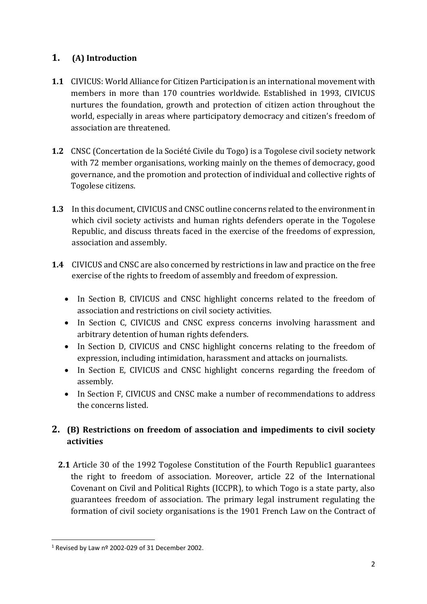## **1. (A) Introduction**

- **1.1** CIVICUS: World Alliance for Citizen Participation is an international movement with members in more than 170 countries worldwide. Established in 1993, CIVICUS nurtures the foundation, growth and protection of citizen action throughout the world, especially in areas where participatory democracy and citizen's freedom of association are threatened.
- **1.2** CNSC (Concertation de la Société Civile du Togo) is a Togolese civil society network with 72 member organisations, working mainly on the themes of democracy, good governance, and the promotion and protection of individual and collective rights of Togolese citizens.
- **1.3** In this document, CIVICUS and CNSC outline concerns related to the environment in which civil society activists and human rights defenders operate in the Togolese Republic, and discuss threats faced in the exercise of the freedoms of expression, association and assembly.
- **1.4** CIVICUS and CNSC are also concerned by restrictions in law and practice on the free exercise of the rights to freedom of assembly and freedom of expression.
	- In Section B, CIVICUS and CNSC highlight concerns related to the freedom of association and restrictions on civil society activities.
	- In Section C, CIVICUS and CNSC express concerns involving harassment and arbitrary detention of human rights defenders.
	- In Section D, CIVICUS and CNSC highlight concerns relating to the freedom of expression, including intimidation, harassment and attacks on journalists.
	- In Section E, CIVICUS and CNSC highlight concerns regarding the freedom of assembly.
	- In Section F, CIVICUS and CNSC make a number of recommendations to address the concerns listed.

## **2. (B) Restrictions on freedom of association and impediments to civil society activities**

**2.1** Article 30 of the 1992 Togolese Constitution of the Fourth Republic1 guarantees the right to freedom of association. Moreover, article 22 of the International Covenant on Civil and Political Rights (ICCPR), to which Togo is a state party, also guarantees freedom of association. The primary legal instrument regulating the formation of civil society organisations is the 1901 French Law on the Contract of

**<sup>.</sup>**  $1$  Revised by Law nº 2002-029 of 31 December 2002.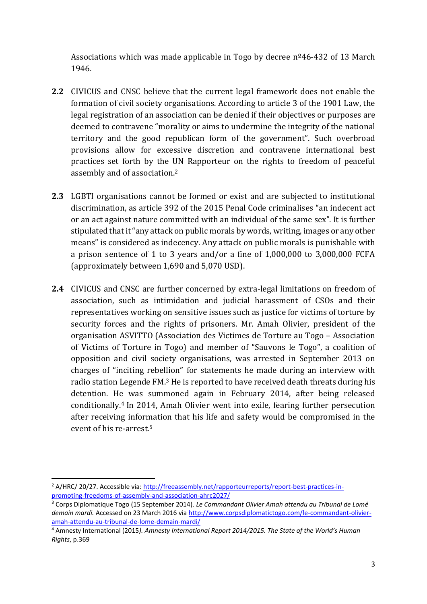Associations which was made applicable in Togo by decree  $n^{\circ}46-432$  of 13 March 1946.

- **2.2** CIVICUS and CNSC believe that the current legal framework does not enable the formation of civil society organisations. According to article 3 of the 1901 Law, the legal registration of an association can be denied if their objectives or purposes are deemed to contravene "morality or aims to undermine the integrity of the national territory and the good republican form of the government". Such overbroad provisions allow for excessive discretion and contravene international best practices set forth by the UN Rapporteur on the rights to freedom of peaceful assembly and of association. 2
- **2.3** LGBTI organisations cannot be formed or exist and are subjected to institutional discrimination, as article 392 of the 2015 Penal Code criminalises "an indecent act or an act against nature committed with an individual of the same sex". It is further stipulated that it "any attack on public morals by words, writing, images or any other means" is considered as indecency. Any attack on public morals is punishable with a prison sentence of 1 to 3 years and/or a fine of 1,000,000 to 3,000,000 FCFA (approximately between 1,690 and 5,070 USD).
- **2.4** CIVICUS and CNSC are further concerned by extra-legal limitations on freedom of association, such as intimidation and judicial harassment of CSOs and their representatives working on sensitive issues such as justice for victims of torture by security forces and the rights of prisoners. Mr. Amah Olivier, president of the organisation ASVITTO (Association des Victimes de Torture au Togo – Association of Victims of Torture in Togo) and member of "Sauvons le Togo", a coalition of opposition and civil society organisations, was arrested in September 2013 on charges of "inciting rebellion" for statements he made during an interview with radio station Legende FM.<sup>3</sup> He is reported to have received death threats during his detention. He was summoned again in February 2014, after being released conditionally.<sup>4</sup> In 2014, Amah Olivier went into exile, fearing further persecution after receiving information that his life and safety would be compromised in the event of his re-arrest. 5

**<sup>.</sup>** <sup>2</sup> A/HRC/ 20/27. Accessible via: [http://freeassembly.net/rapporteurreports/report-best-practices-in](http://freeassembly.net/rapporteurreports/report-best-practices-in-promoting-freedoms-of-assembly-and-association-ahrc2027/)[promoting-freedoms-of-assembly-and-association-ahrc2027/](http://freeassembly.net/rapporteurreports/report-best-practices-in-promoting-freedoms-of-assembly-and-association-ahrc2027/)

<sup>3</sup> Corps Diplomatique Togo (15 September 2014). *Le Commandant Olivier Amah attendu au Tribunal de Lomé demain mardi.* Accessed on 23 March 2016 via [http://www.corpsdiplomatictogo.com/le-commandant-olivier](http://www.corpsdiplomatictogo.com/le-commandant-olivier-amah-attendu-au-tribunal-de-lome-demain-mardi/)[amah-attendu-au-tribunal-de-lome-demain-mardi/](http://www.corpsdiplomatictogo.com/le-commandant-olivier-amah-attendu-au-tribunal-de-lome-demain-mardi/)

<sup>4</sup> Amnesty International (2015*). Amnesty International Report 2014/2015. The State of the World's Human Rights*, p.369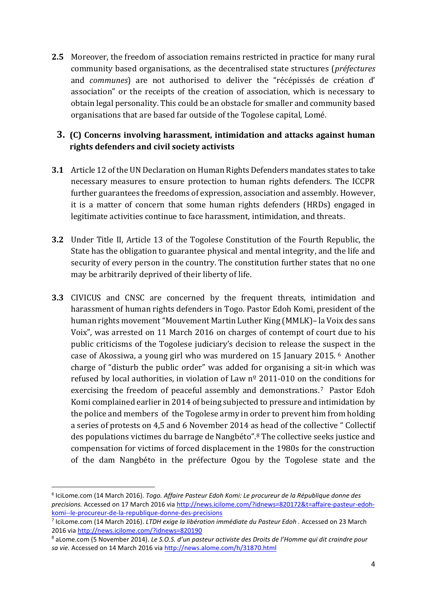**2.5** Moreover, the freedom of association remains restricted in practice for many rural community based organisations, as the decentralised state structures (*préfectures* and *communes*) are not authorised to deliver the "récépissés de création d' association" or the receipts of the creation of association, which is necessary to obtain legal personality. This could be an obstacle for smaller and community based organisations that are based far outside of the Togolese capital, Lomé.

### **3. (C) Concerns involving harassment, intimidation and attacks against human rights defenders and civil society activists**

- **3.1** Article 12 of the UN Declaration on Human Rights Defenders mandates states to take necessary measures to ensure protection to human rights defenders. The ICCPR further guarantees the freedoms of expression, association and assembly. However, it is a matter of concern that some human rights defenders (HRDs) engaged in legitimate activities continue to face harassment, intimidation, and threats.
- **3.2** Under Title II, Article 13 of the Togolese Constitution of the Fourth Republic, the State has the obligation to guarantee physical and mental integrity, and the life and security of every person in the country. The constitution further states that no one may be arbitrarily deprived of their liberty of life.
- **3.3** CIVICUS and CNSC are concerned by the frequent threats, intimidation and harassment of human rights defenders in Togo. Pastor Edoh Komi, president of the human rights movement "Mouvement Martin Luther King (MMLK)– la Voix des sans Voix", was arrested on 11 March 2016 on charges of contempt of court due to his public criticisms of the Togolese judiciary's decision to release the suspect in the case of Akossiwa, a young girl who was murdered on 15 January 2015. <sup>6</sup> Another charge of "disturb the public order" was added for organising a sit-in which was refused by local authorities, in violation of Law  $n<sup>o</sup>$  2011-010 on the conditions for exercising the freedom of peaceful assembly and demonstrations.<sup>7</sup> Pastor Edoh Komi complained earlier in 2014 of being subjected to pressure and intimidation by the police and members of the Togolese army in order to prevent him from holding a series of protests on 4,5 and 6 November 2014 as head of the collective " Collectif des populations victimes du barrage de Nangbéto". <sup>8</sup> The collective seeks justice and compensation for victims of forced displacement in the 1980s for the construction of the dam Nangbéto in the préfecture Ogou by the Togolese state and the

 $\overline{\phantom{a}}$ 

<sup>6</sup> IciLome.com (14 March 2016). *Togo. Affaire Pasteur Edoh Komi: Le procureur de la République donne des precisions.* Accessed on 17 March 2016 via [http://news.icilome.com/?idnews=820172&t=affaire-pasteur-edoh](http://news.icilome.com/?idnews=820172&t=affaire-pasteur-edoh-komi--le-procureur-de-la-republique-donne-des-precisions)[komi--le-procureur-de-la-republique-donne-des-precisions](http://news.icilome.com/?idnews=820172&t=affaire-pasteur-edoh-komi--le-procureur-de-la-republique-donne-des-precisions)

<sup>7</sup> IciLome.com (14 March 2016). *LTDH exige la libération immédiate du Pasteur Edoh .* Accessed on 23 March 2016 vi[a http://news.icilome.com/?idnews=820190](http://news.icilome.com/?idnews=820190)

<sup>8</sup> aLome.com (5 November 2014). *Le S.O.S. d'un pasteur activiste des Droits de l'Homme qui dit craindre pour sa vie.* Accessed on 14 March 2016 via<http://news.alome.com/h/31870.html>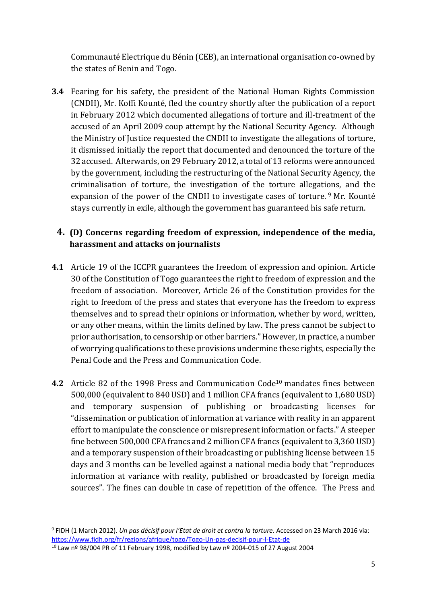Communauté Electrique du Bénin (CEB), an international organisation co-owned by the states of Benin and Togo.

**3.4** Fearing for his safety, the president of the National Human Rights Commission (CNDH), Mr. Koffi Kounté, fled the country shortly after the publication of a report in February 2012 which documented allegations of torture and ill-treatment of the accused of an April 2009 coup attempt by the National Security Agency. Although the Ministry of Justice requested the CNDH to investigate the allegations of torture, it dismissed initially the report that documented and denounced the torture of the 32 accused. Afterwards, on 29 February 2012, a total of 13 reforms were announced by the government, including the restructuring of the National Security Agency, the criminalisation of torture, the investigation of the torture allegations, and the expansion of the power of the CNDH to investigate cases of torture. <sup>9</sup> Mr. Kounté stays currently in exile, although the government has guaranteed his safe return.

### **4. (D) Concerns regarding freedom of expression, independence of the media, harassment and attacks on journalists**

- **4.1** Article 19 of the ICCPR guarantees the freedom of expression and opinion. Article 30 of the Constitution of Togo guarantees the right to freedom of expression and the freedom of association. Moreover, Article 26 of the Constitution provides for the right to freedom of the press and states that everyone has the freedom to express themselves and to spread their opinions or information, whether by word, written, or any other means, within the limits defined by law. The press cannot be subject to prior authorisation, to censorship or other barriers." However, in practice, a number of worrying qualifications to these provisions undermine these rights, especially the Penal Code and the Press and Communication Code.
- **4.2** Article 82 of the 1998 Press and Communication Code<sup>10</sup> mandates fines between 500,000 (equivalent to 840 USD) and 1 million CFA francs (equivalent to 1,680 USD) and temporary suspension of publishing or broadcasting licenses for "dissemination or publication of information at variance with reality in an apparent effort to manipulate the conscience or misrepresent information or facts." A steeper fine between 500,000 CFA francs and 2 million CFA francs (equivalent to 3,360 USD) and a temporary suspension of their broadcasting or publishing license between 15 days and 3 months can be levelled against a national media body that "reproduces information at variance with reality, published or broadcasted by foreign media sources". The fines can double in case of repetition of the offence. The Press and

<sup>9</sup> FIDH (1 March 2012). *Un pas décisif pour l'Etat de droit et contra la torture.* Accessed on 23 March 2016 via: <https://www.fidh.org/fr/regions/afrique/togo/Togo-Un-pas-decisif-pour-l-Etat-de>

 $10$  Law nº 98/004 PR of 11 February 1998, modified by Law nº 2004-015 of 27 August 2004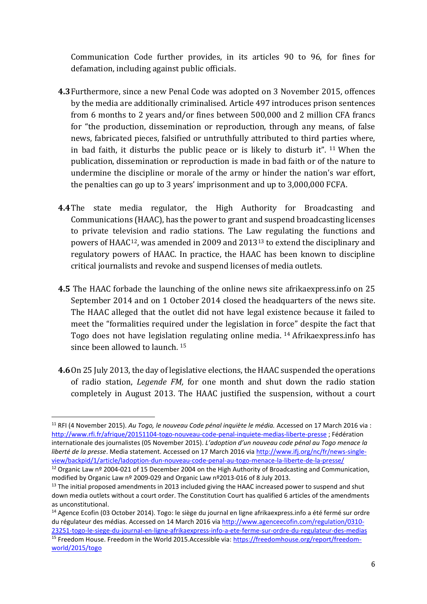Communication Code further provides, in its articles 90 to 96, for fines for defamation, including against public officials.

- **4.3**Furthermore, since a new Penal Code was adopted on 3 November 2015, offences by the media are additionally criminalised. Article 497 introduces prison sentences from 6 months to 2 years and/or fines between 500,000 and 2 million CFA francs for "the production, dissemination or reproduction, through any means, of false news, fabricated pieces, falsified or untruthfully attributed to third parties where, in bad faith, it disturbs the public peace or is likely to disturb it". <sup>11</sup> When the publication, dissemination or reproduction is made in bad faith or of the nature to undermine the discipline or morale of the army or hinder the nation's war effort, the penalties can go up to 3 years' imprisonment and up to 3,000,000 FCFA.
- **4.4**The state media regulator, the High Authority for Broadcasting and Communications (HAAC), has the power to grant and suspend broadcasting licenses to private television and radio stations. The Law regulating the functions and powers of HAAC12, was amended in 2009 and 2013<sup>13</sup> to extend the disciplinary and regulatory powers of HAAC. In practice, the HAAC has been known to discipline critical journalists and revoke and suspend licenses of media outlets.
- **4.5** The HAAC forbade the launching of the online news site afrikaexpress.info on 25 September 2014 and on 1 October 2014 closed the headquarters of the news site. The HAAC alleged that the outlet did not have legal existence because it failed to meet the "formalities required under the legislation in force" despite the fact that Togo does not have legislation regulating online media. <sup>14</sup> Afrikaexpress.info has since been allowed to launch. <sup>15</sup>
- **4.6**On 25 July 2013, the day of legislative elections, the HAAC suspended the operations of radio station, *Legende FM,* for one month and shut down the radio station completely in August 2013. The HAAC justified the suspension, without a court

<sup>11</sup> RFI (4 November 2015). *Au Togo, le nouveau Code pénal inquiète le média.* Accessed on 17 March 2016 via : <http://www.rfi.fr/afrique/20151104-togo-nouveau-code-penal-inquiete-medias-liberte-presse> ; Fédération internationale des journalistes (05 November 2015). *L'adoption d'un nouveau code pénal au Togo menace la liberté de la presse*. Media statement. Accessed on 17 March 2016 vi[a http://www.ifj.org/nc/fr/news-single](http://www.ifj.org/nc/fr/news-single-view/backpid/1/article/ladoption-dun-nouveau-code-penal-au-togo-menace-la-liberte-de-la-presse/)[view/backpid/1/article/ladoption-dun-nouveau-code-penal-au-togo-menace-la-liberte-de-la-presse/](http://www.ifj.org/nc/fr/news-single-view/backpid/1/article/ladoption-dun-nouveau-code-penal-au-togo-menace-la-liberte-de-la-presse/)

<sup>&</sup>lt;sup>12</sup> Organic Law nº 2004-021 of 15 December 2004 on the High Authority of Broadcasting and Communication, modified by Organic Law nº 2009-029 and Organic Law nº2013-016 of 8 July 2013.

 $13$  The initial proposed amendments in 2013 included giving the HAAC increased power to suspend and shut down media outlets without a court order. The Constitution Court has qualified 6 articles of the amendments as unconstitutional.

<sup>&</sup>lt;sup>14</sup> Agence Ecofin (03 October 2014). Togo: le siège du journal en ligne afrikaexpress.info a été fermé sur ordre du régulateur des médias. Accessed on 14 March 2016 via [http://www.agenceecofin.com/regulation/0310-](http://www.agenceecofin.com/regulation/0310-23251-togo-le-siege-du-journal-en-ligne-afrikaexpress-info-a-ete-ferme-sur-ordre-du-regulateur-des-medias) [23251-togo-le-siege-du-journal-en-ligne-afrikaexpress-info-a-ete-ferme-sur-ordre-du-regulateur-des-medias](http://www.agenceecofin.com/regulation/0310-23251-togo-le-siege-du-journal-en-ligne-afrikaexpress-info-a-ete-ferme-sur-ordre-du-regulateur-des-medias) <sup>15</sup> Freedom House. Freedom in the World 2015.Accessible via: [https://freedomhouse.org/report/freedom-](https://freedomhouse.org/report/freedom-world/2015/togo)

[world/2015/togo](https://freedomhouse.org/report/freedom-world/2015/togo)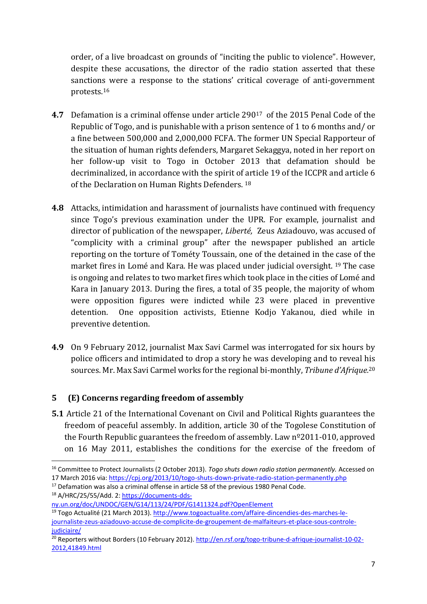order, of a live broadcast on grounds of "inciting the public to violence". However, despite these accusations, the director of the radio station asserted that these sanctions were a response to the stations' critical coverage of anti-government protests.<sup>16</sup>

- **4.7** Defamation is a criminal offense under article 290<sup>17</sup> of the 2015 Penal Code of the Republic of Togo, and is punishable with a prison sentence of 1 to 6 months and/ or a fine between 500,000 and 2,000,000 FCFA. The former UN Special Rapporteur of the situation of human rights defenders, Margaret Sekaggya, noted in her report on her follow-up visit to Togo in October 2013 that defamation should be decriminalized, in accordance with the spirit of article 19 of the ICCPR and article 6 of the Declaration on Human Rights Defenders. <sup>18</sup>
- **4.8** Attacks, intimidation and harassment of journalists have continued with frequency since Togo's previous examination under the UPR. For example, journalist and director of publication of the newspaper, *Liberté,* Zeus Aziadouvo, was accused of "complicity with a criminal group" after the newspaper published an article reporting on the torture of Tométy Toussain, one of the detained in the case of the market fires in Lomé and Kara. He was placed under judicial oversight. <sup>19</sup> The case is ongoing and relates to two market fires which took place in the cities of Lomé and Kara in January 2013. During the fires, a total of 35 people, the majority of whom were opposition figures were indicted while 23 were placed in preventive detention. One opposition activists, Etienne Kodjo Yakanou, died while in preventive detention.
- **4.9** On 9 February 2012, journalist Max Savi Carmel was interrogated for six hours by police officers and intimidated to drop a story he was developing and to reveal his sources. Mr. Max Savi Carmel works for the regional bi-monthly, *Tribune d'Afrique.*<sup>20</sup>

#### **5 (E) Concerns regarding freedom of assembly**

**5.1** Article 21 of the International Covenant on Civil and Political Rights guarantees the freedom of peaceful assembly. In addition, article 30 of the Togolese Constitution of the Fourth Republic guarantees the freedom of assembly. Law n<sup>o</sup>2011-010, approved on 16 May 2011, establishes the conditions for the exercise of the freedom of

<sup>16</sup> Committee to Protect Journalists (2 October 2013). *Togo shuts down radio station permanently.* Accessed on 17 March 2016 via:<https://cpj.org/2013/10/togo-shuts-down-private-radio-station-permanently.php>

<sup>&</sup>lt;sup>17</sup> Defamation was also a criminal offense in article 58 of the previous 1980 Penal Code.

<sup>18</sup> A/HRC/25/55/Add. 2[: https://documents-dds-](https://documents-dds-ny.un.org/doc/UNDOC/GEN/G14/113/24/PDF/G1411324.pdf?OpenElement)

[ny.un.org/doc/UNDOC/GEN/G14/113/24/PDF/G1411324.pdf?OpenElement](https://documents-dds-ny.un.org/doc/UNDOC/GEN/G14/113/24/PDF/G1411324.pdf?OpenElement)

<sup>19</sup> Togo Actualité (21 March 2013). [http://www.togoactualite.com/affaire-dincendies-des-marches-le](http://www.togoactualite.com/affaire-dincendies-des-marches-le-journaliste-zeus-aziadouvo-accuse-de-complicite-de-groupement-de-malfaiteurs-et-place-sous-controle-judiciaire/)[journaliste-zeus-aziadouvo-accuse-de-complicite-de-groupement-de-malfaiteurs-et-place-sous-controle](http://www.togoactualite.com/affaire-dincendies-des-marches-le-journaliste-zeus-aziadouvo-accuse-de-complicite-de-groupement-de-malfaiteurs-et-place-sous-controle-judiciaire/)[judiciaire/](http://www.togoactualite.com/affaire-dincendies-des-marches-le-journaliste-zeus-aziadouvo-accuse-de-complicite-de-groupement-de-malfaiteurs-et-place-sous-controle-judiciaire/)

<sup>&</sup>lt;sup>20</sup> Reporters without Borders (10 February 2012)[. http://en.rsf.org/togo-tribune-d-afrique-journalist-10-02-](http://en.rsf.org/togo-tribune-d-afrique-journalist-10-02-2012,41849.html) [2012,41849.html](http://en.rsf.org/togo-tribune-d-afrique-journalist-10-02-2012,41849.html)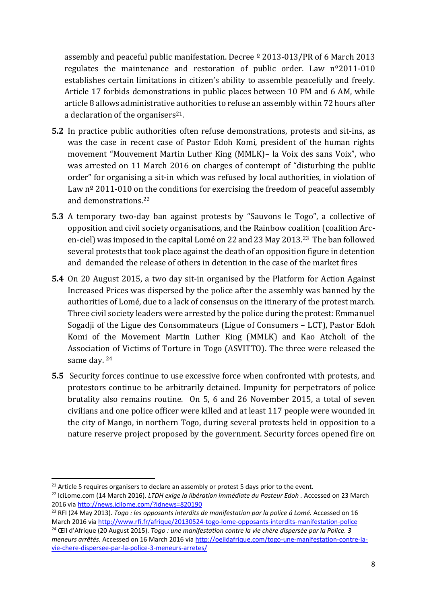assembly and peaceful public manifestation. Decree  $9$  2013-013/PR of 6 March 2013 regulates the maintenance and restoration of public order. Law nº2011-010 establishes certain limitations in citizen's ability to assemble peacefully and freely. Article 17 forbids demonstrations in public places between 10 PM and 6 AM, while article 8 allows administrative authorities to refuse an assembly within 72 hours after a declaration of the organisers<sup>21</sup>.

- **5.2** In practice public authorities often refuse demonstrations, protests and sit-ins, as was the case in recent case of Pastor Edoh Komi, president of the human rights movement "Mouvement Martin Luther King (MMLK)– la Voix des sans Voix", who was arrested on 11 March 2016 on charges of contempt of "disturbing the public order" for organising a sit-in which was refused by local authorities, in violation of Law  $n^{\circ}$  2011-010 on the conditions for exercising the freedom of peaceful assembly and demonstrations.<sup>22</sup>
- **5.3** A temporary two-day ban against protests by "Sauvons le Togo", a collective of opposition and civil society organisations, and the Rainbow coalition (coalition Arcen-ciel) was imposed in the capital Lomé on 22 and 23 May 2013.23 The ban followed several protests that took place against the death of an opposition figure in detention and demanded the release of others in detention in the case of the market fires
- **5.4** On 20 August 2015, a two day sit-in organised by the Platform for Action Against Increased Prices was dispersed by the police after the assembly was banned by the authorities of Lomé, due to a lack of consensus on the itinerary of the protest march. Three civil society leaders were arrested by the police during the protest: Emmanuel Sogadji of the Ligue des Consommateurs (Ligue of Consumers – LCT), Pastor Edoh Komi of the Movement Martin Luther King (MMLK) and Kao Atcholi of the Association of Victims of Torture in Togo (ASVITTO). The three were released the same day. <sup>24</sup>
- **5.5** Security forces continue to use excessive force when confronted with protests, and protestors continue to be arbitrarily detained. Impunity for perpetrators of police brutality also remains routine. On 5, 6 and 26 November 2015, a total of seven civilians and one police officer were killed and at least 117 people were wounded in the city of Mango, in northern Togo, during several protests held in opposition to a nature reserve project proposed by the government. Security forces opened fire on

<sup>&</sup>lt;sup>21</sup> Article 5 requires organisers to declare an assembly or protest 5 days prior to the event.

<sup>22</sup> IciLome.com (14 March 2016). *LTDH exige la libération immédiate du Pasteur Edoh .* Accessed on 23 March 2016 vi[a http://news.icilome.com/?idnews=820190](http://news.icilome.com/?idnews=820190)

<sup>23</sup> RFI (24 May 2013). *Togo : les opposants interdits de manifestation par la police á Lomé.* Accessed on 16 March 2016 via<http://www.rfi.fr/afrique/20130524-togo-lome-opposants-interdits-manifestation-police>

<sup>24</sup> Œil d'Afrique (20 August 2015). *Togo : une manifestation contre la vie chère dispersée par la Police. 3 meneurs arrêtés.* Accessed on 16 March 2016 vi[a http://oeildafrique.com/togo-une-manifestation-contre-la](http://oeildafrique.com/togo-une-manifestation-contre-la-vie-chere-dispersee-par-la-police-3-meneurs-arretes/)[vie-chere-dispersee-par-la-police-3-meneurs-arretes/](http://oeildafrique.com/togo-une-manifestation-contre-la-vie-chere-dispersee-par-la-police-3-meneurs-arretes/)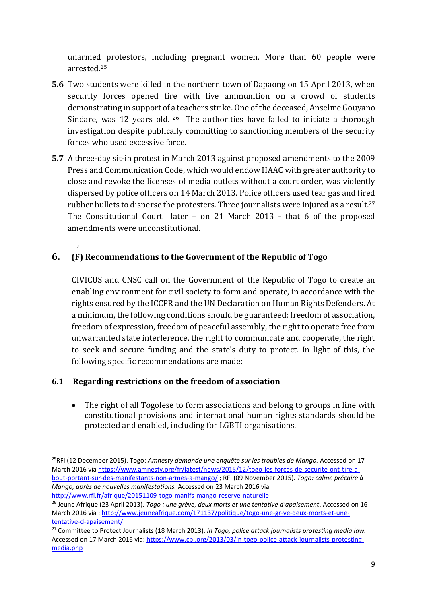unarmed protestors, including pregnant women. More than 60 people were arrested. 25

- **5.6** Two students were killed in the northern town of Dapaong on 15 April 2013, when security forces opened fire with live ammunition on a crowd of students demonstrating in support of a teachers strike. One of the deceased, Anselme Gouyano Sindare, was 12 years old. <sup>26</sup> The authorities have failed to initiate a thorough investigation despite publically committing to sanctioning members of the security forces who used excessive force.
- **5.7** A three-day sit-in protest in March 2013 against proposed amendments to the 2009 Press and Communication Code, which would endow HAAC with greater authority to close and revoke the licenses of media outlets without a court order, was violently dispersed by police officers on 14 March 2013. Police officers used tear gas and fired rubber bullets to disperse the protesters. Three journalists were injured as a result. 27 The Constitutional Court later – on 21 March 2013 - that 6 of the proposed amendments were unconstitutional.

## **6. (F) Recommendations to the Government of the Republic of Togo**

,

**.** 

CIVICUS and CNSC call on the Government of the Republic of Togo to create an enabling environment for civil society to form and operate, in accordance with the rights ensured by the ICCPR and the UN Declaration on Human Rights Defenders. At a minimum, the following conditions should be guaranteed: freedom of association, freedom of expression, freedom of peaceful assembly, the right to operate free from unwarranted state interference, the right to communicate and cooperate, the right to seek and secure funding and the state's duty to protect. In light of this, the following specific recommendations are made:

#### **6.1 Regarding restrictions on the freedom of association**

 The right of all Togolese to form associations and belong to groups in line with constitutional provisions and international human rights standards should be protected and enabled, including for LGBTI organisations.

<sup>25</sup>RFI (12 December 2015). Togo: *Amnesty demande une enquête sur les troubles de Mango.* Accessed on 17 March 2016 via [https://www.amnesty.org/fr/latest/news/2015/12/togo-les-forces-de-securite-ont-tire-a](https://www.amnesty.org/fr/latest/news/2015/12/togo-les-forces-de-securite-ont-tire-a-bout-portant-sur-des-manifestants-non-armes-a-mango/)[bout-portant-sur-des-manifestants-non-armes-a-mango/](https://www.amnesty.org/fr/latest/news/2015/12/togo-les-forces-de-securite-ont-tire-a-bout-portant-sur-des-manifestants-non-armes-a-mango/) ; RFI (09 November 2015). *Togo: calme précaire à Mango, après de nouvelles manifestations.* Accessed on 23 March 2016 via <http://www.rfi.fr/afrique/20151109-togo-manifs-mango-reserve-naturelle>

<sup>26</sup> Jeune Afrique (23 April 2013). *Togo : une grève, deux morts et une tentative d'apaisement*. Accessed on 16 March 2016 via : [http://www.jeuneafrique.com/171137/politique/togo-une-gr-ve-deux-morts-et-une](http://www.jeuneafrique.com/171137/politique/togo-une-gr-ve-deux-morts-et-une-tentative-d-apaisement/)[tentative-d-apaisement/](http://www.jeuneafrique.com/171137/politique/togo-une-gr-ve-deux-morts-et-une-tentative-d-apaisement/)

<sup>27</sup> Committee to Protect Journalists (18 March 2013). *In Togo, police attack journalists protesting media law.* Accessed on 17 March 2016 via[: https://www.cpj.org/2013/03/in-togo-police-attack-journalists-protesting](https://www.cpj.org/2013/03/in-togo-police-attack-journalists-protesting-media.php)[media.php](https://www.cpj.org/2013/03/in-togo-police-attack-journalists-protesting-media.php)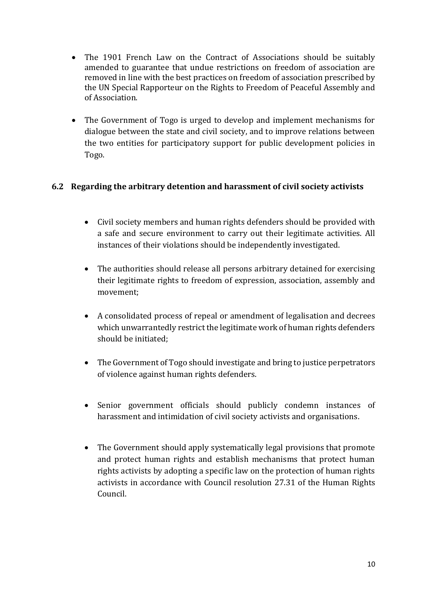- The 1901 French Law on the Contract of Associations should be suitably amended to guarantee that undue restrictions on freedom of association are removed in line with the best practices on freedom of association prescribed by the UN Special Rapporteur on the Rights to Freedom of Peaceful Assembly and of Association.
- The Government of Togo is urged to develop and implement mechanisms for dialogue between the state and civil society, and to improve relations between the two entities for participatory support for public development policies in Togo.

#### **6.2 Regarding the arbitrary detention and harassment of civil society activists**

- Civil society members and human rights defenders should be provided with a safe and secure environment to carry out their legitimate activities. All instances of their violations should be independently investigated.
- The authorities should release all persons arbitrary detained for exercising their legitimate rights to freedom of expression, association, assembly and movement;
- A consolidated process of repeal or amendment of legalisation and decrees which unwarrantedly restrict the legitimate work of human rights defenders should be initiated;
- The Government of Togo should investigate and bring to justice perpetrators of violence against human rights defenders.
- Senior government officials should publicly condemn instances of harassment and intimidation of civil society activists and organisations.
- The Government should apply systematically legal provisions that promote and protect human rights and establish mechanisms that protect human rights activists by adopting a specific law on the protection of human rights activists in accordance with Council resolution 27.31 of the Human Rights Council.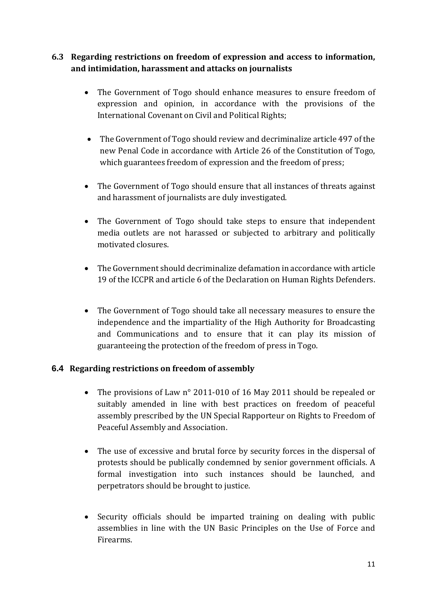### **6.3 Regarding restrictions on freedom of expression and access to information, and intimidation, harassment and attacks on journalists**

- The Government of Togo should enhance measures to ensure freedom of expression and opinion, in accordance with the provisions of the International Covenant on Civil and Political Rights;
- The Government of Togo should review and decriminalize article 497 of the new Penal Code in accordance with Article 26 of the Constitution of Togo, which guarantees freedom of expression and the freedom of press;
- The Government of Togo should ensure that all instances of threats against and harassment of journalists are duly investigated.
- The Government of Togo should take steps to ensure that independent media outlets are not harassed or subjected to arbitrary and politically motivated closures.
- The Government should decriminalize defamation in accordance with article 19 of the ICCPR and article 6 of the Declaration on Human Rights Defenders.
- The Government of Togo should take all necessary measures to ensure the independence and the impartiality of the High Authority for Broadcasting and Communications and to ensure that it can play its mission of guaranteeing the protection of the freedom of press in Togo.

#### **6.4 Regarding restrictions on freedom of assembly**

- The provisions of Law n° 2011-010 of 16 May 2011 should be repealed or suitably amended in line with best practices on freedom of peaceful assembly prescribed by the UN Special Rapporteur on Rights to Freedom of Peaceful Assembly and Association.
- The use of excessive and brutal force by security forces in the dispersal of protests should be publically condemned by senior government officials. A formal investigation into such instances should be launched, and perpetrators should be brought to justice.
- Security officials should be imparted training on dealing with public assemblies in line with the UN Basic Principles on the Use of Force and Firearms.